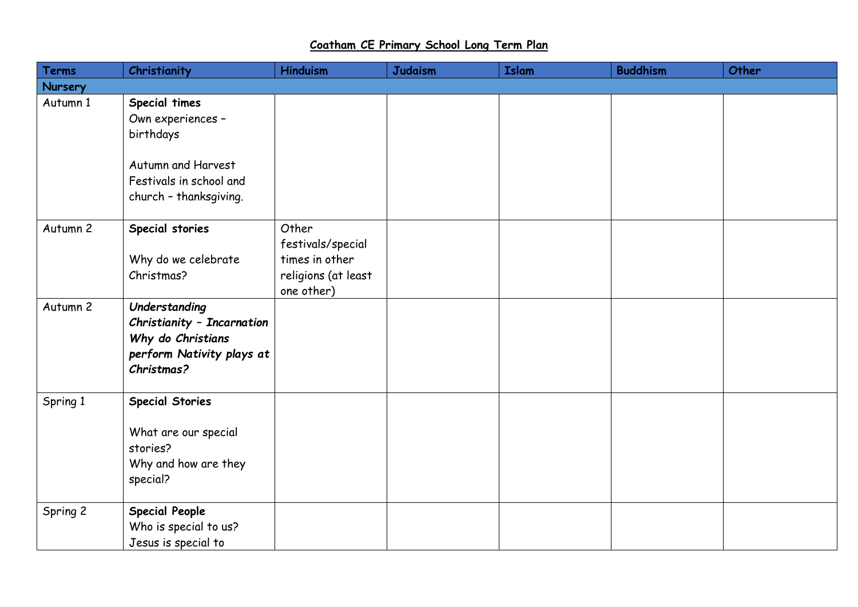## **Coatham CE Primary School Long Term Plan**

| <b>Terms</b> | Christianity                                                                                                | <b>Hinduism</b>                                                                   | <b>Judaism</b> | <b>Islam</b> | <b>Buddhism</b> | Other |
|--------------|-------------------------------------------------------------------------------------------------------------|-----------------------------------------------------------------------------------|----------------|--------------|-----------------|-------|
| Nursery      |                                                                                                             |                                                                                   |                |              |                 |       |
| Autumn 1     | Special times<br>Own experiences -<br>birthdays                                                             |                                                                                   |                |              |                 |       |
|              | Autumn and Harvest<br>Festivals in school and<br>church - thanksgiving.                                     |                                                                                   |                |              |                 |       |
| Autumn 2     | Special stories<br>Why do we celebrate<br>Christmas?                                                        | Other<br>festivals/special<br>times in other<br>religions (at least<br>one other) |                |              |                 |       |
| Autumn 2     | Understanding<br>Christianity - Incarnation<br>Why do Christians<br>perform Nativity plays at<br>Christmas? |                                                                                   |                |              |                 |       |
| Spring 1     | <b>Special Stories</b><br>What are our special<br>stories?<br>Why and how are they<br>special?              |                                                                                   |                |              |                 |       |
| Spring 2     | <b>Special People</b><br>Who is special to us?<br>Jesus is special to                                       |                                                                                   |                |              |                 |       |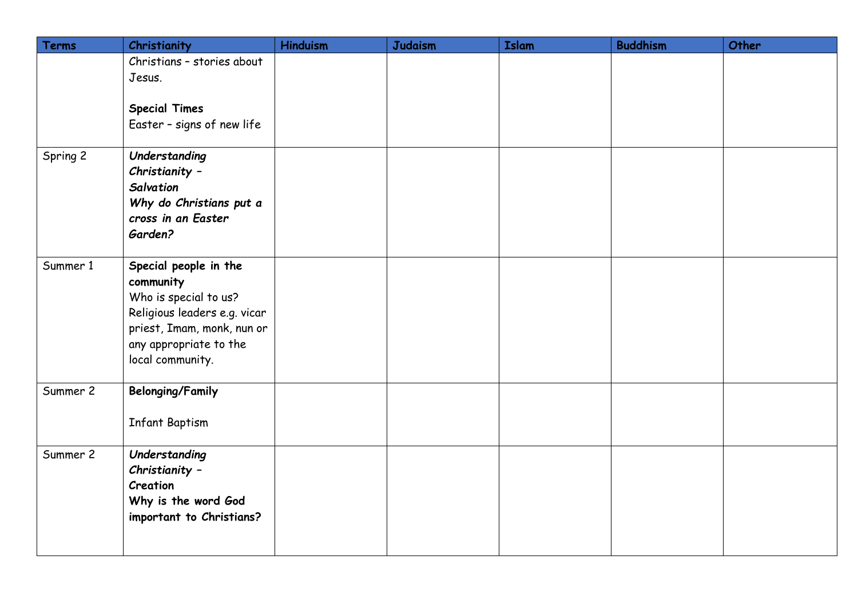| Terms    | Christianity                 | <b>Hinduism</b> | <b>Judaism</b> | <b>Islam</b> | <b>Buddhism</b> | Other |
|----------|------------------------------|-----------------|----------------|--------------|-----------------|-------|
|          | Christians - stories about   |                 |                |              |                 |       |
|          | Jesus.                       |                 |                |              |                 |       |
|          |                              |                 |                |              |                 |       |
|          | <b>Special Times</b>         |                 |                |              |                 |       |
|          | Easter - signs of new life   |                 |                |              |                 |       |
| Spring 2 | Understanding                |                 |                |              |                 |       |
|          | Christianity -               |                 |                |              |                 |       |
|          | Salvation                    |                 |                |              |                 |       |
|          | Why do Christians put a      |                 |                |              |                 |       |
|          | cross in an Easter           |                 |                |              |                 |       |
|          | Garden?                      |                 |                |              |                 |       |
|          |                              |                 |                |              |                 |       |
| Summer 1 | Special people in the        |                 |                |              |                 |       |
|          | community                    |                 |                |              |                 |       |
|          | Who is special to us?        |                 |                |              |                 |       |
|          | Religious leaders e.g. vicar |                 |                |              |                 |       |
|          | priest, Imam, monk, nun or   |                 |                |              |                 |       |
|          | any appropriate to the       |                 |                |              |                 |       |
|          | local community.             |                 |                |              |                 |       |
| Summer 2 | <b>Belonging/Family</b>      |                 |                |              |                 |       |
|          |                              |                 |                |              |                 |       |
|          | <b>Infant Baptism</b>        |                 |                |              |                 |       |
|          |                              |                 |                |              |                 |       |
| Summer 2 | Understanding                |                 |                |              |                 |       |
|          | Christianity -               |                 |                |              |                 |       |
|          | Creation                     |                 |                |              |                 |       |
|          | Why is the word God          |                 |                |              |                 |       |
|          | important to Christians?     |                 |                |              |                 |       |
|          |                              |                 |                |              |                 |       |
|          |                              |                 |                |              |                 |       |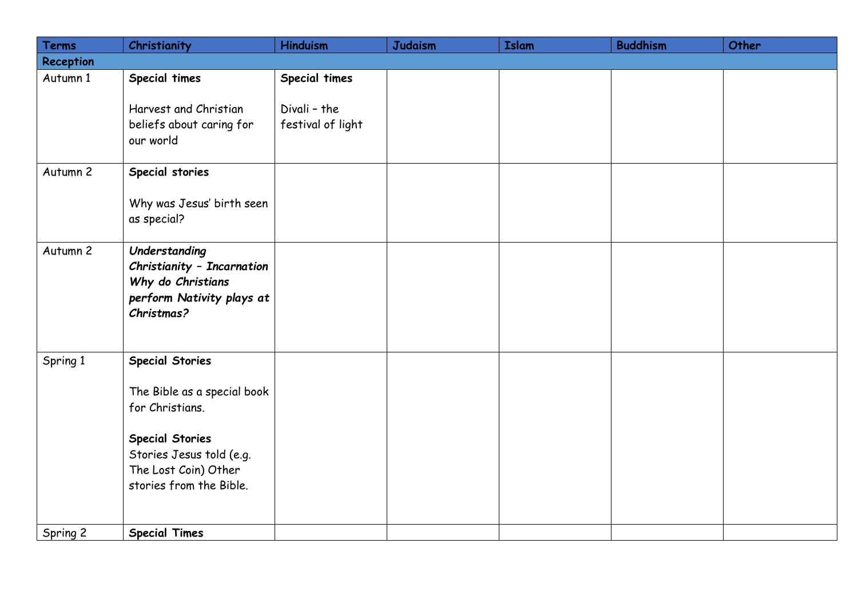| Terms     | Christianity                                                                                                                                                                      | <b>Hinduism</b>                                    | <b>Judaism</b> | <b>Islam</b> | <b>Buddhism</b> | Other |
|-----------|-----------------------------------------------------------------------------------------------------------------------------------------------------------------------------------|----------------------------------------------------|----------------|--------------|-----------------|-------|
| Reception |                                                                                                                                                                                   |                                                    |                |              |                 |       |
| Autumn 1  | Special times<br>Harvest and Christian<br>beliefs about caring for<br>our world                                                                                                   | Special times<br>Divali - the<br>festival of light |                |              |                 |       |
| Autumn 2  | Special stories<br>Why was Jesus' birth seen<br>as special?                                                                                                                       |                                                    |                |              |                 |       |
| Autumn 2  | Understanding<br>Christianity - Incarnation<br>Why do Christians<br>perform Nativity plays at<br>Christmas?                                                                       |                                                    |                |              |                 |       |
| Spring 1  | <b>Special Stories</b><br>The Bible as a special book<br>for Christians.<br><b>Special Stories</b><br>Stories Jesus told (e.g.<br>The Lost Coin) Other<br>stories from the Bible. |                                                    |                |              |                 |       |
| Spring 2  | <b>Special Times</b>                                                                                                                                                              |                                                    |                |              |                 |       |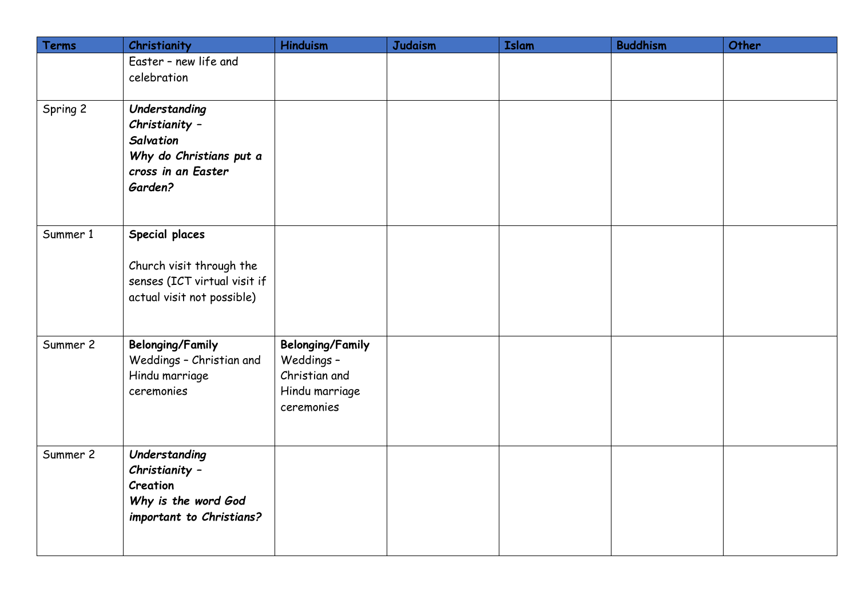| Terms    | Christianity                                                                                             | <b>Hinduism</b>                                                                        | <b>Judaism</b> | <b>Islam</b> | <b>Buddhism</b> | Other |
|----------|----------------------------------------------------------------------------------------------------------|----------------------------------------------------------------------------------------|----------------|--------------|-----------------|-------|
|          | Easter - new life and<br>celebration                                                                     |                                                                                        |                |              |                 |       |
| Spring 2 | Understanding<br>Christianity -<br>Salvation<br>Why do Christians put a<br>cross in an Easter<br>Garden? |                                                                                        |                |              |                 |       |
| Summer 1 | Special places<br>Church visit through the<br>senses (ICT virtual visit if<br>actual visit not possible) |                                                                                        |                |              |                 |       |
| Summer 2 | <b>Belonging/Family</b><br>Weddings - Christian and<br>Hindu marriage<br>ceremonies                      | <b>Belonging/Family</b><br>Weddings -<br>Christian and<br>Hindu marriage<br>ceremonies |                |              |                 |       |
| Summer 2 | Understanding<br>Christianity -<br>Creation<br>Why is the word God<br>important to Christians?           |                                                                                        |                |              |                 |       |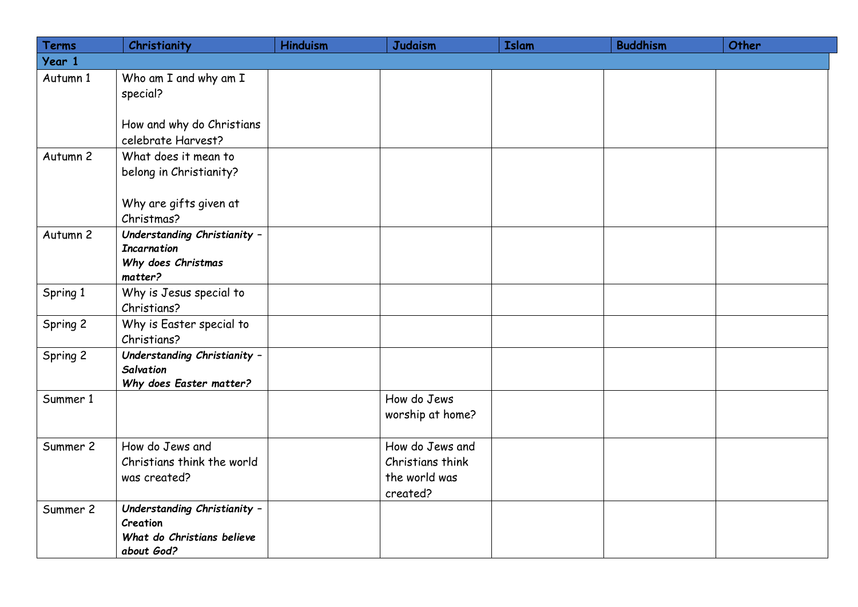| <b>Terms</b> | Christianity                                                                         | <b>Hinduism</b> | <b>Judaism</b>                                                   | <b>Islam</b> | <b>Buddhism</b> | Other |
|--------------|--------------------------------------------------------------------------------------|-----------------|------------------------------------------------------------------|--------------|-----------------|-------|
| Year 1       |                                                                                      |                 |                                                                  |              |                 |       |
| Autumn 1     | Who am I and why am I<br>special?                                                    |                 |                                                                  |              |                 |       |
|              | How and why do Christians<br>celebrate Harvest?                                      |                 |                                                                  |              |                 |       |
| Autumn 2     | What does it mean to<br>belong in Christianity?                                      |                 |                                                                  |              |                 |       |
|              | Why are gifts given at<br>Christmas?                                                 |                 |                                                                  |              |                 |       |
| Autumn 2     | Understanding Christianity -<br><b>Incarnation</b><br>Why does Christmas<br>matter?  |                 |                                                                  |              |                 |       |
| Spring 1     | Why is Jesus special to<br>Christians?                                               |                 |                                                                  |              |                 |       |
| Spring 2     | Why is Easter special to<br>Christians?                                              |                 |                                                                  |              |                 |       |
| Spring 2     | Understanding Christianity -<br>Salvation<br>Why does Easter matter?                 |                 |                                                                  |              |                 |       |
| Summer 1     |                                                                                      |                 | How do Jews<br>worship at home?                                  |              |                 |       |
| Summer 2     | How do Jews and<br>Christians think the world<br>was created?                        |                 | How do Jews and<br>Christians think<br>the world was<br>created? |              |                 |       |
| Summer 2     | Understanding Christianity -<br>Creation<br>What do Christians believe<br>about God? |                 |                                                                  |              |                 |       |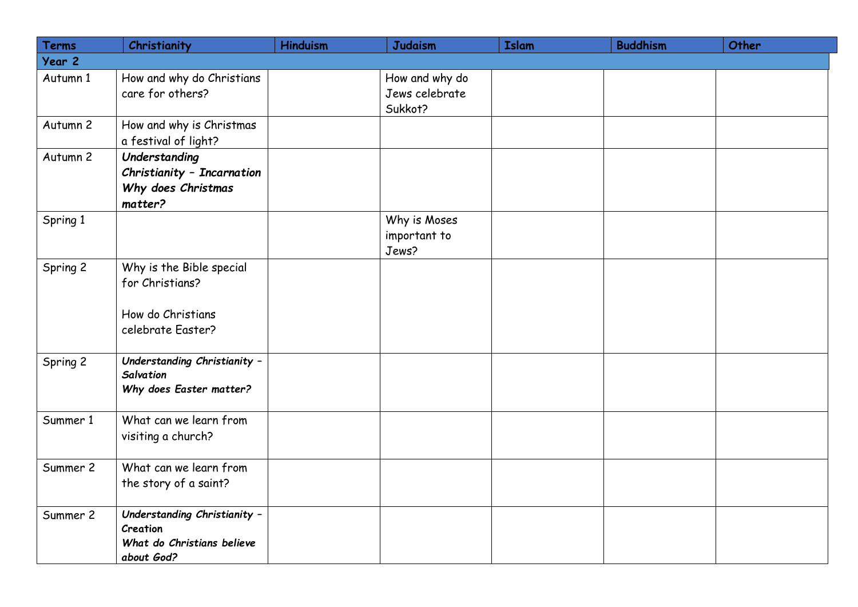| <b>Terms</b> | Christianity                                                                          | <b>Hinduism</b> | <b>Judaism</b>                              | <b>Islam</b> | <b>Buddhism</b> | Other |
|--------------|---------------------------------------------------------------------------------------|-----------------|---------------------------------------------|--------------|-----------------|-------|
| Year 2       |                                                                                       |                 |                                             |              |                 |       |
| Autumn 1     | How and why do Christians<br>care for others?                                         |                 | How and why do<br>Jews celebrate<br>Sukkot? |              |                 |       |
| Autumn 2     | How and why is Christmas<br>a festival of light?                                      |                 |                                             |              |                 |       |
| Autumn 2     | Understanding<br>Christianity - Incarnation<br>Why does Christmas<br>matter?          |                 |                                             |              |                 |       |
| Spring 1     |                                                                                       |                 | Why is Moses<br>important to<br>Jews?       |              |                 |       |
| Spring 2     | Why is the Bible special<br>for Christians?<br>How do Christians<br>celebrate Easter? |                 |                                             |              |                 |       |
| Spring 2     | Understanding Christianity -<br><b>Salvation</b><br>Why does Easter matter?           |                 |                                             |              |                 |       |
| Summer 1     | What can we learn from<br>visiting a church?                                          |                 |                                             |              |                 |       |
| Summer 2     | What can we learn from<br>the story of a saint?                                       |                 |                                             |              |                 |       |
| Summer 2     | Understanding Christianity -<br>Creation<br>What do Christians believe<br>about God?  |                 |                                             |              |                 |       |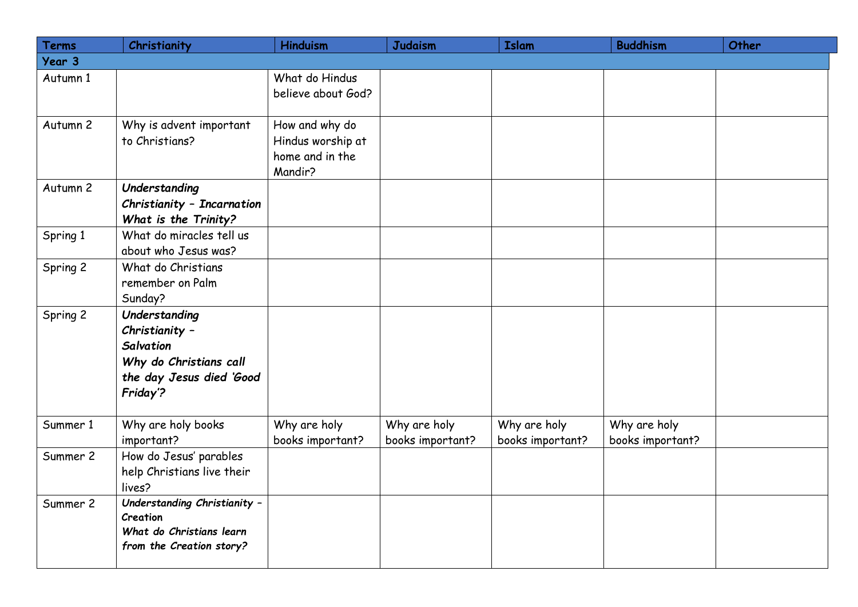| <b>Terms</b> | Christianity                                                                                                          | <b>Hinduism</b>                                                   | <b>Judaism</b>                   | <b>Islam</b>                     | <b>Buddhism</b>                  | Other |
|--------------|-----------------------------------------------------------------------------------------------------------------------|-------------------------------------------------------------------|----------------------------------|----------------------------------|----------------------------------|-------|
| Year 3       |                                                                                                                       |                                                                   |                                  |                                  |                                  |       |
| Autumn 1     |                                                                                                                       | What do Hindus<br>believe about God?                              |                                  |                                  |                                  |       |
| Autumn 2     | Why is advent important<br>to Christians?                                                                             | How and why do<br>Hindus worship at<br>home and in the<br>Mandir? |                                  |                                  |                                  |       |
| Autumn 2     | Understanding<br>Christianity - Incarnation<br>What is the Trinity?                                                   |                                                                   |                                  |                                  |                                  |       |
| Spring 1     | What do miracles tell us<br>about who Jesus was?                                                                      |                                                                   |                                  |                                  |                                  |       |
| Spring 2     | What do Christians<br>remember on Palm<br>Sunday?                                                                     |                                                                   |                                  |                                  |                                  |       |
| Spring 2     | Understanding<br>Christianity -<br><b>Salvation</b><br>Why do Christians call<br>the day Jesus died 'Good<br>Friday'? |                                                                   |                                  |                                  |                                  |       |
| Summer 1     | Why are holy books<br>important?                                                                                      | Why are holy<br>books important?                                  | Why are holy<br>books important? | Why are holy<br>books important? | Why are holy<br>books important? |       |
| Summer 2     | How do Jesus' parables<br>help Christians live their<br>lives?                                                        |                                                                   |                                  |                                  |                                  |       |
| Summer 2     | Understanding Christianity -<br>Creation<br>What do Christians learn<br>from the Creation story?                      |                                                                   |                                  |                                  |                                  |       |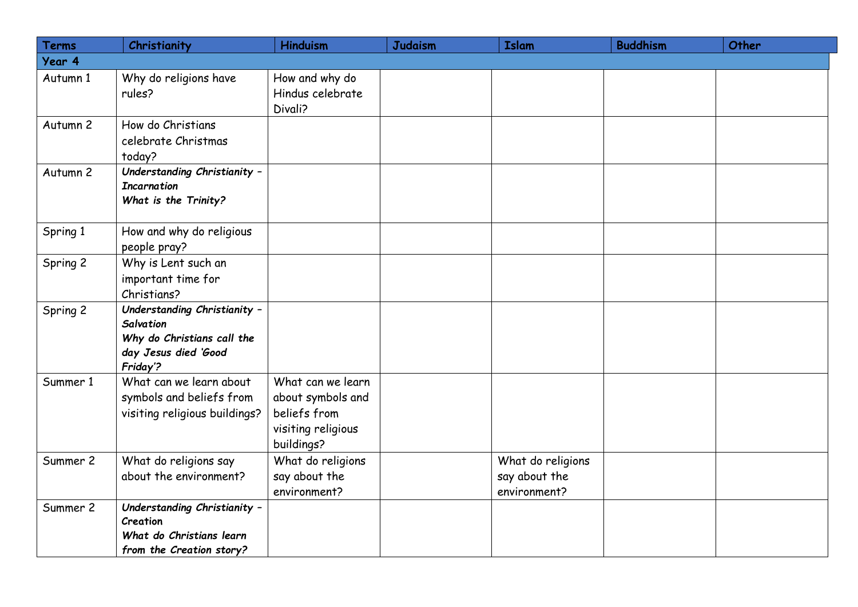| Terms    | Christianity                                                                                                       | <b>Hinduism</b>                                                                            | <b>Judaism</b> | <b>Islam</b>                                       | <b>Buddhism</b> | Other |
|----------|--------------------------------------------------------------------------------------------------------------------|--------------------------------------------------------------------------------------------|----------------|----------------------------------------------------|-----------------|-------|
| Year 4   |                                                                                                                    |                                                                                            |                |                                                    |                 |       |
| Autumn 1 | Why do religions have<br>rules?                                                                                    | How and why do<br>Hindus celebrate<br>Divali?                                              |                |                                                    |                 |       |
| Autumn 2 | How do Christians<br>celebrate Christmas<br>today?                                                                 |                                                                                            |                |                                                    |                 |       |
| Autumn 2 | Understanding Christianity -<br><b>Incarnation</b><br>What is the Trinity?                                         |                                                                                            |                |                                                    |                 |       |
| Spring 1 | How and why do religious<br>people pray?                                                                           |                                                                                            |                |                                                    |                 |       |
| Spring 2 | Why is Lent such an<br>important time for<br>Christians?                                                           |                                                                                            |                |                                                    |                 |       |
| Spring 2 | Understanding Christianity -<br><b>Salvation</b><br>Why do Christians call the<br>day Jesus died 'Good<br>Friday'? |                                                                                            |                |                                                    |                 |       |
| Summer 1 | What can we learn about<br>symbols and beliefs from<br>visiting religious buildings?                               | What can we learn<br>about symbols and<br>beliefs from<br>visiting religious<br>buildings? |                |                                                    |                 |       |
| Summer 2 | What do religions say<br>about the environment?                                                                    | What do religions<br>say about the<br>environment?                                         |                | What do religions<br>say about the<br>environment? |                 |       |
| Summer 2 | Understanding Christianity -<br>Creation<br>What do Christians learn<br>from the Creation story?                   |                                                                                            |                |                                                    |                 |       |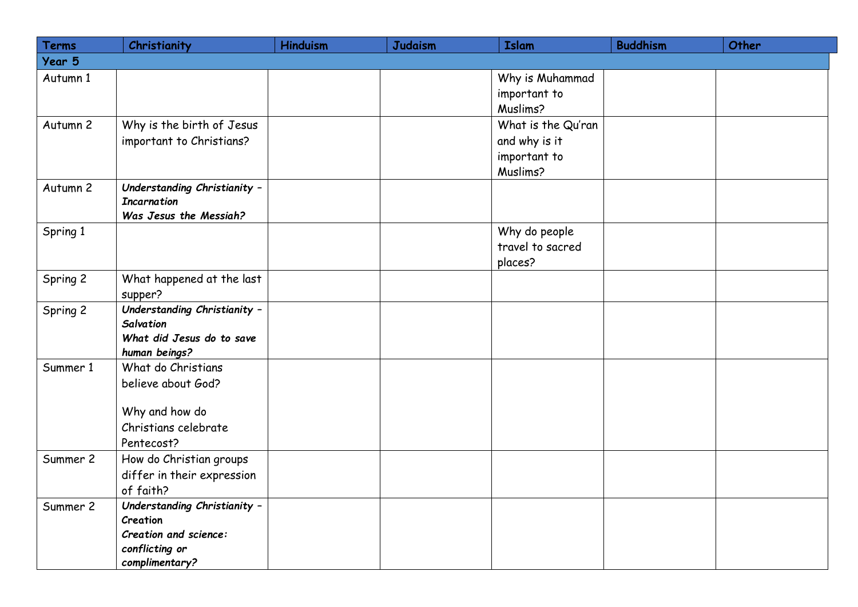| Terms    | Christianity                                                                 | <b>Hinduism</b> | <b>Judaism</b> | <b>Islam</b>                    | <b>Buddhism</b> | Other |
|----------|------------------------------------------------------------------------------|-----------------|----------------|---------------------------------|-----------------|-------|
| Year 5   |                                                                              |                 |                |                                 |                 |       |
| Autumn 1 |                                                                              |                 |                | Why is Muhammad<br>important to |                 |       |
|          |                                                                              |                 |                | Muslims?                        |                 |       |
| Autumn 2 | Why is the birth of Jesus                                                    |                 |                | What is the Qu'ran              |                 |       |
|          | important to Christians?                                                     |                 |                | and why is it                   |                 |       |
|          |                                                                              |                 |                | important to                    |                 |       |
|          |                                                                              |                 |                | Muslims?                        |                 |       |
| Autumn 2 | Understanding Christianity -<br><b>Incarnation</b><br>Was Jesus the Messiah? |                 |                |                                 |                 |       |
| Spring 1 |                                                                              |                 |                | Why do people                   |                 |       |
|          |                                                                              |                 |                | travel to sacred                |                 |       |
|          |                                                                              |                 |                | places?                         |                 |       |
| Spring 2 | What happened at the last                                                    |                 |                |                                 |                 |       |
|          | supper?                                                                      |                 |                |                                 |                 |       |
| Spring 2 | Understanding Christianity -                                                 |                 |                |                                 |                 |       |
|          | <b>Salvation</b><br>What did Jesus do to save                                |                 |                |                                 |                 |       |
|          | human beings?                                                                |                 |                |                                 |                 |       |
| Summer 1 | What do Christians                                                           |                 |                |                                 |                 |       |
|          | believe about God?                                                           |                 |                |                                 |                 |       |
|          | Why and how do                                                               |                 |                |                                 |                 |       |
|          | Christians celebrate                                                         |                 |                |                                 |                 |       |
|          | Pentecost?                                                                   |                 |                |                                 |                 |       |
| Summer 2 | How do Christian groups                                                      |                 |                |                                 |                 |       |
|          | differ in their expression                                                   |                 |                |                                 |                 |       |
|          | of faith?                                                                    |                 |                |                                 |                 |       |
| Summer 2 | Understanding Christianity -                                                 |                 |                |                                 |                 |       |
|          | Creation<br>Creation and science:                                            |                 |                |                                 |                 |       |
|          | conflicting or                                                               |                 |                |                                 |                 |       |
|          | complimentary?                                                               |                 |                |                                 |                 |       |